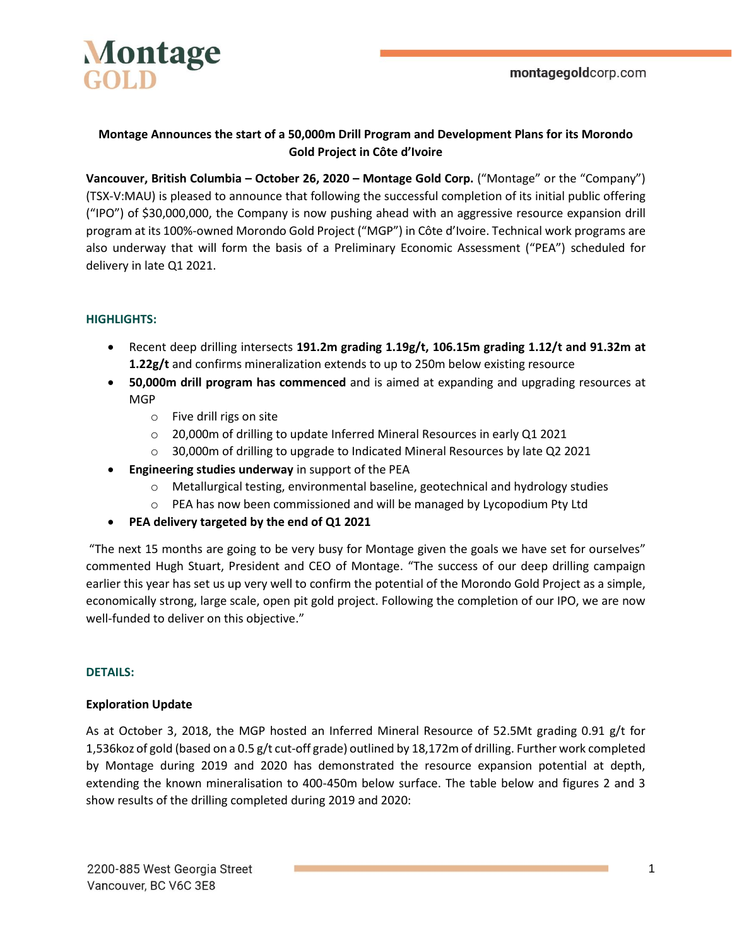

### **Montage Announces the start of a 50,000m Drill Program and Development Plans for its Morondo Gold Project in Côte d'Ivoire**

**Vancouver, British Columbia – October 26, 2020 – Montage Gold Corp.** ("Montage" or the "Company") (TSX-V:MAU) is pleased to announce that following the successful completion of its initial public offering ("IPO") of \$30,000,000, the Company is now pushing ahead with an aggressive resource expansion drill program at its 100%-owned Morondo Gold Project ("MGP") in Côte d'Ivoire. Technical work programs are also underway that will form the basis of a Preliminary Economic Assessment ("PEA") scheduled for delivery in late Q1 2021.

### **HIGHLIGHTS:**

- Recent deep drilling intersects **191.2m grading 1.19g/t, 106.15m grading 1.12/t and 91.32m at 1.22g/t** and confirms mineralization extends to up to 250m below existing resource
- **50,000m drill program has commenced** and is aimed at expanding and upgrading resources at MGP
	- o Five drill rigs on site
	- o 20,000m of drilling to update Inferred Mineral Resources in early Q1 2021
	- o 30,000m of drilling to upgrade to Indicated Mineral Resources by late Q2 2021
- **Engineering studies underway** in support of the PEA
	- $\circ$  Metallurgical testing, environmental baseline, geotechnical and hydrology studies
	- o PEA has now been commissioned and will be managed by Lycopodium Pty Ltd
- **PEA delivery targeted by the end of Q1 2021**

"The next 15 months are going to be very busy for Montage given the goals we have set for ourselves" commented Hugh Stuart, President and CEO of Montage. "The success of our deep drilling campaign earlier this year has set us up very well to confirm the potential of the Morondo Gold Project as a simple, economically strong, large scale, open pit gold project. Following the completion of our IPO, we are now well-funded to deliver on this objective."

### **DETAILS:**

### **Exploration Update**

As at October 3, 2018, the MGP hosted an Inferred Mineral Resource of 52.5Mt grading 0.91 g/t for 1,536koz of gold (based on a 0.5 g/t cut-off grade) outlined by 18,172m of drilling. Further work completed by Montage during 2019 and 2020 has demonstrated the resource expansion potential at depth, extending the known mineralisation to 400-450m below surface. The table below and figures 2 and 3 show results of the drilling completed during 2019 and 2020: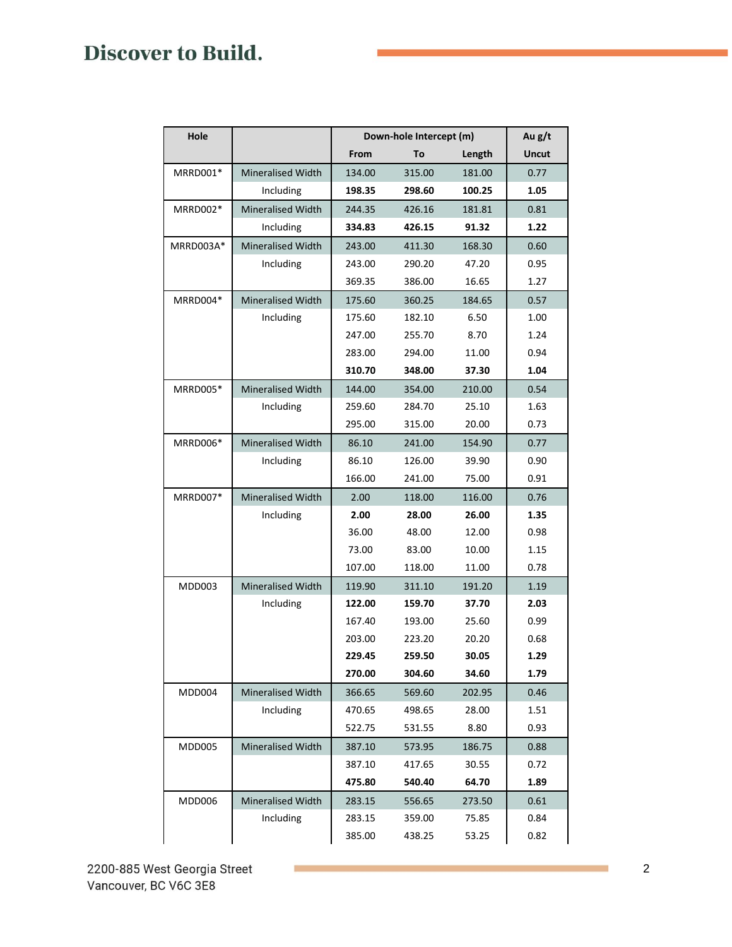| Hole          | Down-hole Intercept (m)  |        |        |        | Au g/t       |
|---------------|--------------------------|--------|--------|--------|--------------|
|               |                          | From   | To     | Length | <b>Uncut</b> |
| MRRD001*      | <b>Mineralised Width</b> | 134.00 | 315.00 | 181.00 | 0.77         |
|               | Including                | 198.35 | 298.60 | 100.25 | 1.05         |
| MRRD002*      | <b>Mineralised Width</b> | 244.35 | 426.16 | 181.81 | 0.81         |
|               | Including                | 334.83 | 426.15 | 91.32  | 1.22         |
| MRRD003A*     | <b>Mineralised Width</b> | 243.00 | 411.30 | 168.30 | 0.60         |
|               | Including                | 243.00 | 290.20 | 47.20  | 0.95         |
|               |                          | 369.35 | 386.00 | 16.65  | 1.27         |
| MRRD004*      | <b>Mineralised Width</b> | 175.60 | 360.25 | 184.65 | 0.57         |
|               | Including                | 175.60 | 182.10 | 6.50   | 1.00         |
|               |                          | 247.00 | 255.70 | 8.70   | 1.24         |
|               |                          | 283.00 | 294.00 | 11.00  | 0.94         |
|               |                          | 310.70 | 348.00 | 37.30  | 1.04         |
| MRRD005*      | Mineralised Width        | 144.00 | 354.00 | 210.00 | 0.54         |
|               | Including                | 259.60 | 284.70 | 25.10  | 1.63         |
|               |                          | 295.00 | 315.00 | 20.00  | 0.73         |
| MRRD006*      | <b>Mineralised Width</b> | 86.10  | 241.00 | 154.90 | 0.77         |
|               | Including                | 86.10  | 126.00 | 39.90  | 0.90         |
|               |                          | 166.00 | 241.00 | 75.00  | 0.91         |
| MRRD007*      | Mineralised Width        | 2.00   | 118.00 | 116.00 | 0.76         |
|               | Including                | 2.00   | 28.00  | 26.00  | 1.35         |
|               |                          | 36.00  | 48.00  | 12.00  | 0.98         |
|               |                          | 73.00  | 83.00  | 10.00  | 1.15         |
|               |                          | 107.00 | 118.00 | 11.00  | 0.78         |
| MDD003        | <b>Mineralised Width</b> | 119.90 | 311.10 | 191.20 | 1.19         |
|               | Including                | 122.00 | 159.70 | 37.70  | 2.03         |
|               |                          | 167.40 | 193.00 | 25.60  | 0.99         |
|               |                          | 203.00 | 223.20 | 20.20  | 0.68         |
|               |                          | 229.45 | 259.50 | 30.05  | 1.29         |
|               |                          | 270.00 | 304.60 | 34.60  | 1.79         |
| MDD004        | <b>Mineralised Width</b> | 366.65 | 569.60 | 202.95 | 0.46         |
|               | Including                | 470.65 | 498.65 | 28.00  | 1.51         |
|               |                          | 522.75 | 531.55 | 8.80   | 0.93         |
| MDD005        | Mineralised Width        | 387.10 | 573.95 | 186.75 | 0.88         |
|               |                          | 387.10 | 417.65 | 30.55  | 0.72         |
|               |                          | 475.80 | 540.40 | 64.70  | 1.89         |
| <b>MDD006</b> | Mineralised Width        | 283.15 | 556.65 | 273.50 | 0.61         |
|               | Including                | 283.15 | 359.00 | 75.85  | 0.84         |
|               |                          | 385.00 | 438.25 | 53.25  | 0.82         |

m.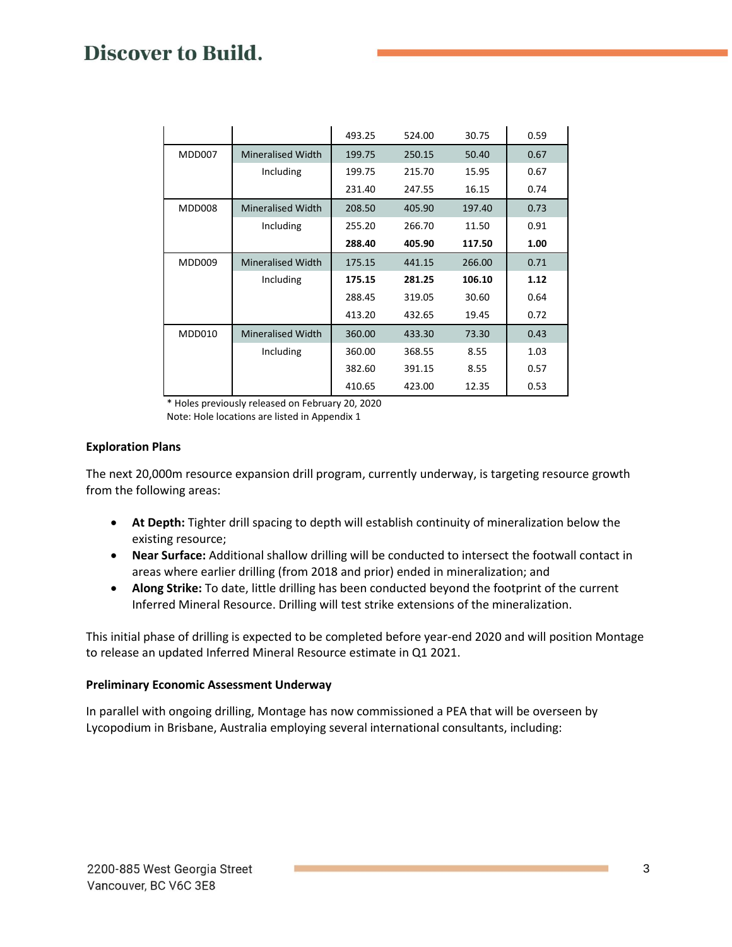|               |                          | 493.25 | 524.00 | 30.75  | 0.59 |
|---------------|--------------------------|--------|--------|--------|------|
| <b>MDD007</b> | <b>Mineralised Width</b> | 199.75 | 250.15 | 50.40  | 0.67 |
|               | Including                | 199.75 | 215.70 | 15.95  | 0.67 |
|               |                          | 231.40 | 247.55 | 16.15  | 0.74 |
| <b>MDD008</b> | <b>Mineralised Width</b> | 208.50 | 405.90 | 197.40 | 0.73 |
|               | Including                | 255.20 | 266.70 | 11.50  | 0.91 |
|               |                          | 288.40 | 405.90 | 117.50 | 1.00 |
| <b>MDD009</b> | <b>Mineralised Width</b> | 175.15 | 441.15 | 266.00 | 0.71 |
|               | Including                | 175.15 | 281.25 | 106.10 | 1.12 |
|               |                          | 288.45 | 319.05 | 30.60  | 0.64 |
|               |                          | 413.20 | 432.65 | 19.45  | 0.72 |
| <b>MDD010</b> | <b>Mineralised Width</b> | 360.00 | 433.30 | 73.30  | 0.43 |
|               | Including                | 360.00 | 368.55 | 8.55   | 1.03 |
|               |                          | 382.60 | 391.15 | 8.55   | 0.57 |
|               |                          | 410.65 | 423.00 | 12.35  | 0.53 |

\* Holes previously released on February 20, 2020

Note: Hole locations are listed in Appendix 1

### **Exploration Plans**

The next 20,000m resource expansion drill program, currently underway, is targeting resource growth from the following areas:

- **At Depth:** Tighter drill spacing to depth will establish continuity of mineralization below the existing resource;
- **Near Surface:** Additional shallow drilling will be conducted to intersect the footwall contact in areas where earlier drilling (from 2018 and prior) ended in mineralization; and
- **Along Strike:** To date, little drilling has been conducted beyond the footprint of the current Inferred Mineral Resource. Drilling will test strike extensions of the mineralization.

This initial phase of drilling is expected to be completed before year-end 2020 and will position Montage to release an updated Inferred Mineral Resource estimate in Q1 2021.

### **Preliminary Economic Assessment Underway**

In parallel with ongoing drilling, Montage has now commissioned a PEA that will be overseen by Lycopodium in Brisbane, Australia employing several international consultants, including: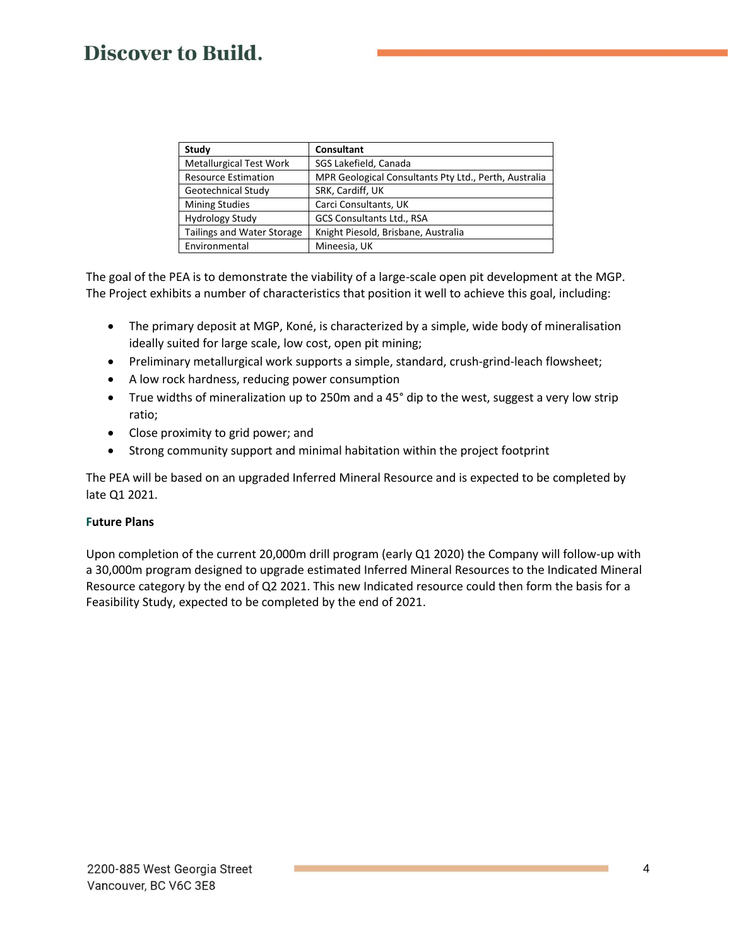| Study                             | <b>Consultant</b>                                     |
|-----------------------------------|-------------------------------------------------------|
| <b>Metallurgical Test Work</b>    | SGS Lakefield, Canada                                 |
| <b>Resource Estimation</b>        | MPR Geological Consultants Pty Ltd., Perth, Australia |
| Geotechnical Study                | SRK, Cardiff, UK                                      |
| <b>Mining Studies</b>             | Carci Consultants, UK                                 |
| <b>Hydrology Study</b>            | GCS Consultants Ltd., RSA                             |
| <b>Tailings and Water Storage</b> | Knight Piesold, Brisbane, Australia                   |
| Environmental                     | Mineesia, UK                                          |

The goal of the PEA is to demonstrate the viability of a large-scale open pit development at the MGP. The Project exhibits a number of characteristics that position it well to achieve this goal, including:

- The primary deposit at MGP, Koné, is characterized by a simple, wide body of mineralisation ideally suited for large scale, low cost, open pit mining;
- Preliminary metallurgical work supports a simple, standard, crush-grind-leach flowsheet;
- A low rock hardness, reducing power consumption
- True widths of mineralization up to 250m and a 45° dip to the west, suggest a very low strip ratio;
- Close proximity to grid power; and
- Strong community support and minimal habitation within the project footprint

The PEA will be based on an upgraded Inferred Mineral Resource and is expected to be completed by late Q1 2021.

### **Future Plans**

Upon completion of the current 20,000m drill program (early Q1 2020) the Company will follow-up with a 30,000m program designed to upgrade estimated Inferred Mineral Resources to the Indicated Mineral Resource category by the end of Q2 2021. This new Indicated resource could then form the basis for a Feasibility Study, expected to be completed by the end of 2021.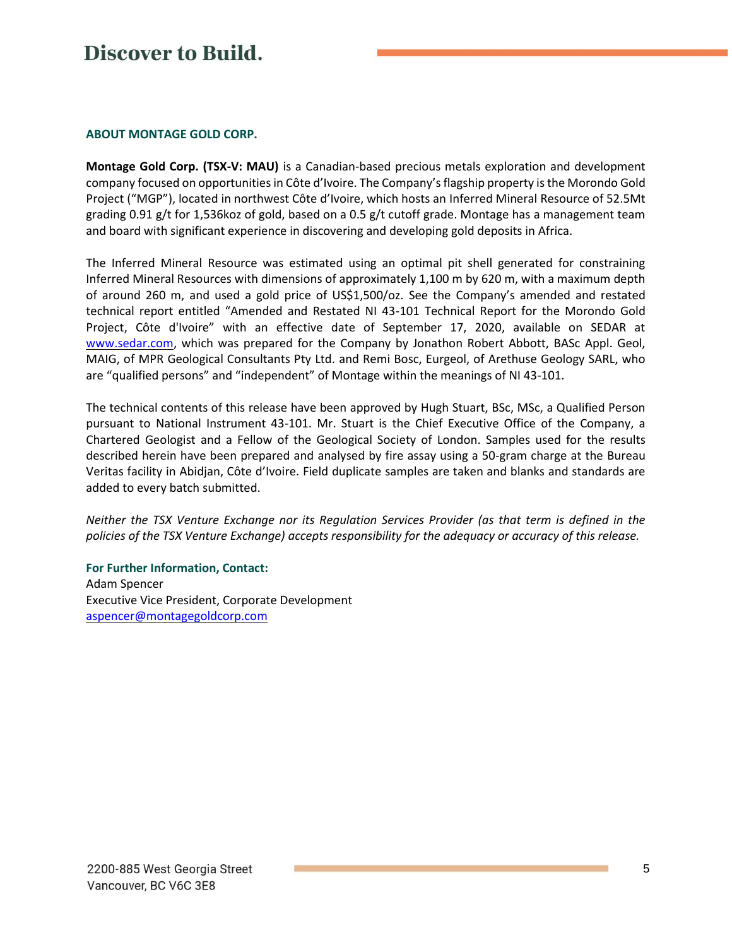#### **ABOUT MONTAGE GOLD CORP.**

**Montage Gold Corp. (TSX-V: MAU)** is a Canadian-based precious metals exploration and development company focused on opportunities in Côte d'Ivoire. The Company's flagship property is the Morondo Gold Project ("MGP"), located in northwest Côte d'Ivoire, which hosts an Inferred Mineral Resource of 52.5Mt grading 0.91 g/t for 1,536koz of gold, based on a 0.5 g/t cutoff grade. Montage has a management team and board with significant experience in discovering and developing gold deposits in Africa.

The Inferred Mineral Resource was estimated using an optimal pit shell generated for constraining Inferred Mineral Resources with dimensions of approximately 1,100 m by 620 m, with a maximum depth of around 260 m, and used a gold price of US\$1,500/oz. See the Company's amended and restated technical report entitled "Amended and Restated NI 43-101 Technical Report for the Morondo Gold Project, Côte d'Ivoire" with an effective date of September 17, 2020, available on SEDAR at [www.sedar.com,](http://www.sedar.com/) which was prepared for the Company by Jonathon Robert Abbott, BASc Appl. Geol, MAIG, of MPR Geological Consultants Pty Ltd. and Remi Bosc, Eurgeol, of Arethuse Geology SARL, who are "qualified persons" and "independent" of Montage within the meanings of NI 43-101.

The technical contents of this release have been approved by Hugh Stuart, BSc, MSc, a Qualified Person pursuant to National Instrument 43-101. Mr. Stuart is the Chief Executive Office of the Company, a Chartered Geologist and a Fellow of the Geological Society of London. Samples used for the results described herein have been prepared and analysed by fire assay using a 50-gram charge at the Bureau Veritas facility in Abidjan, Côte d'Ivoire. Field duplicate samples are taken and blanks and standards are added to every batch submitted.

*Neither the TSX Venture Exchange nor its Regulation Services Provider (as that term is defined in the policies of the TSX Venture Exchange) accepts responsibility for the adequacy or accuracy of this release.*

**For Further Information, Contact:** Adam Spencer Executive Vice President, Corporate Development [aspencer@montagegoldcorp.com](mailto:aspencer@montagegoldcorp.com)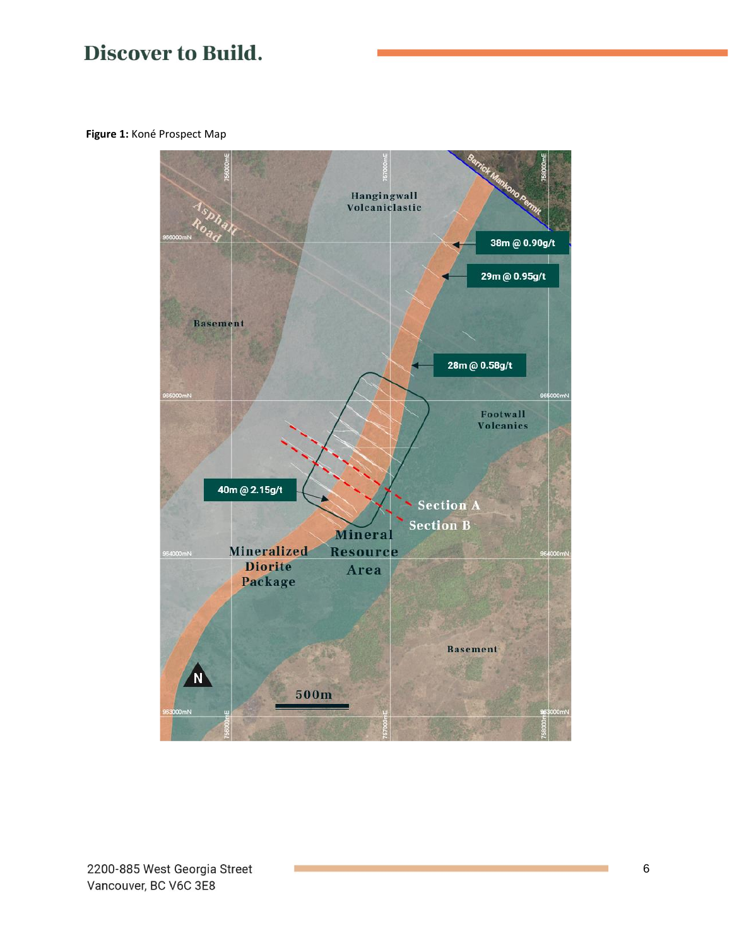**Figure 1:** Koné Prospect Map

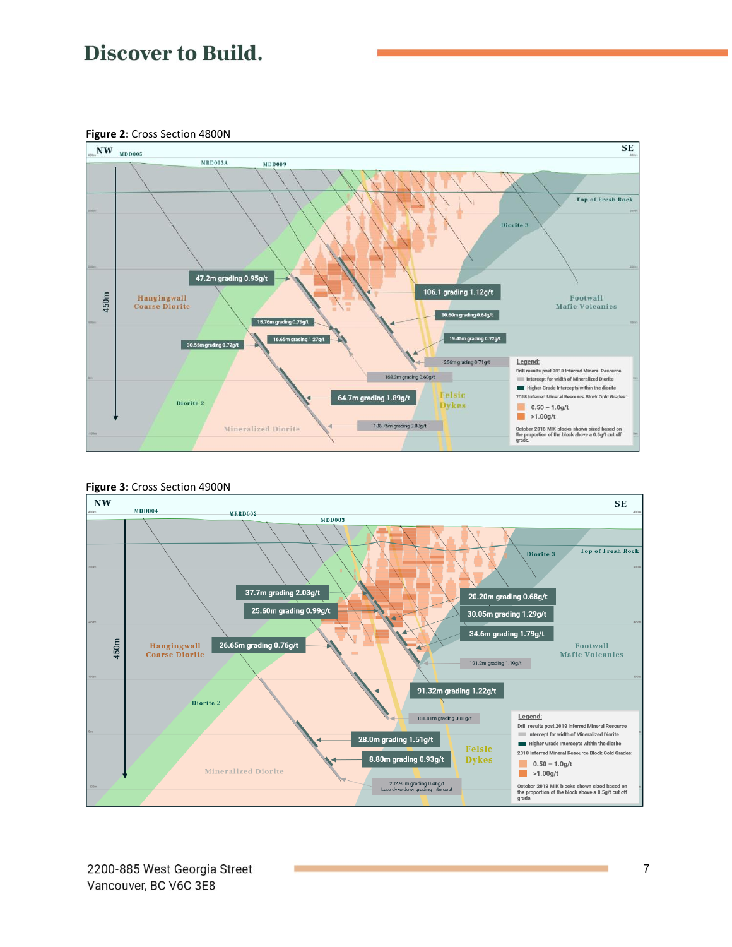**Figure 2:** Cross Section 4800N





#### **Figure 3:** Cross Section 4900N